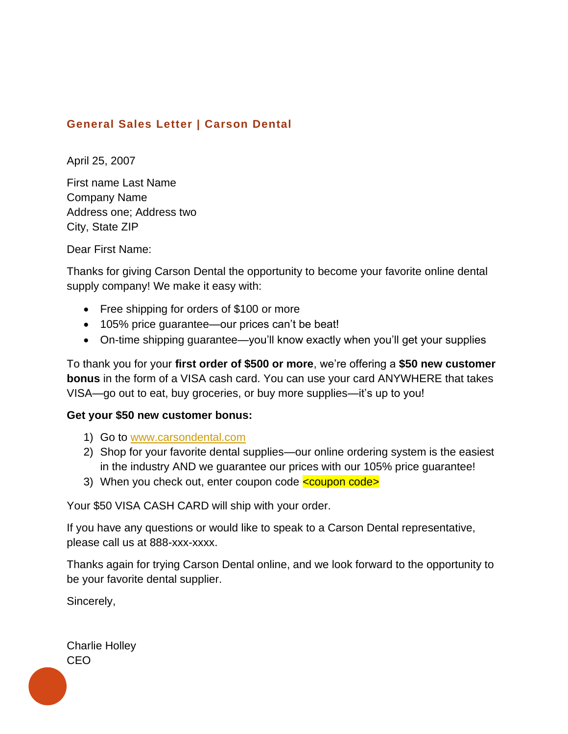## **General Sales Letter | Carson Dental**

April 25, 2007

First name Last Name Company Name Address one; Address two City, State ZIP

Dear First Name:

Thanks for giving Carson Dental the opportunity to become your favorite online dental supply company! We make it easy with:

- Free shipping for orders of \$100 or more
- 105% price guarantee—our prices can't be beat!
- On-time shipping guarantee—you'll know exactly when you'll get your supplies

To thank you for your **first order of \$500 or more**, we're offering a **\$50 new customer bonus** in the form of a VISA cash card. You can use your card ANYWHERE that takes VISA—go out to eat, buy groceries, or buy more supplies—it's up to you!

## **Get your \$50 new customer bonus:**

- 1) Go to [www.carsondental.com](http://www.carsondental.com/)
- 2) Shop for your favorite dental supplies—our online ordering system is the easiest in the industry AND we guarantee our prices with our 105% price guarantee!
- 3) When you check out, enter coupon code <coupon code>

Your \$50 VISA CASH CARD will ship with your order.

If you have any questions or would like to speak to a Carson Dental representative, please call us at 888-xxx-xxxx.

Thanks again for trying Carson Dental online, and we look forward to the opportunity to be your favorite dental supplier.

Sincerely,

Charlie Holley CEO